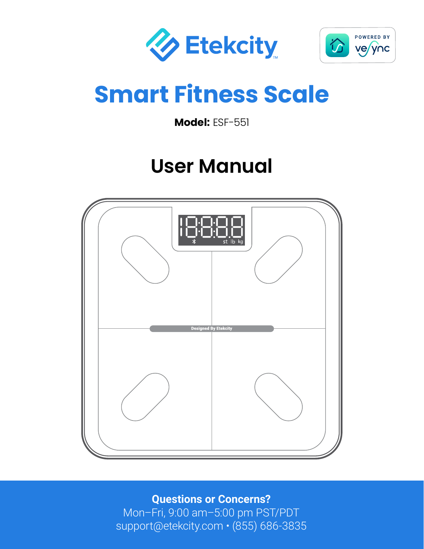



# **Smart Fitness Scale**

**Model:** ESF-551

# **User Manual**



**Questions or Concerns?** Mon–Fri, 9:00 am–5:00 pm PST/PDT support@etekcity.com • (855) 686-3835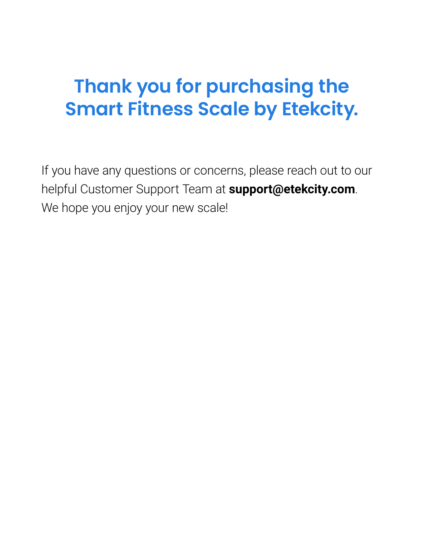# **Thank you for purchasing the Smart Fitness Scale by Etekcity.**

If you have any questions or concerns, please reach out to our helpful Customer Support Team at **support@etekcity.com**. We hope you enjoy your new scale!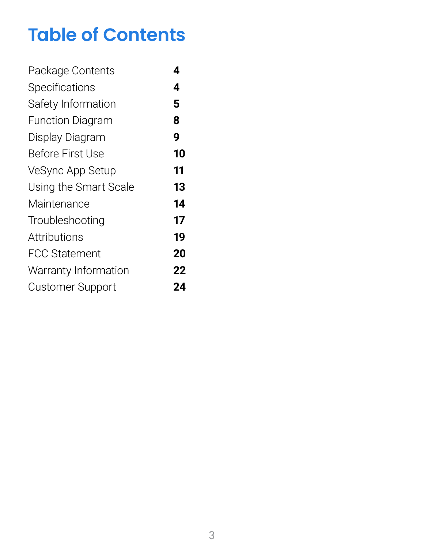# **Table of Contents**

| Package Contents        | 4  |
|-------------------------|----|
| <b>Specifications</b>   | 4  |
| Safety Information      | 5  |
| <b>Function Diagram</b> | 8  |
| Display Diagram         | 9  |
| <b>Before First Use</b> | 10 |
| VeSync App Setup        | 11 |
| Using the Smart Scale   | 13 |
| Maintenance             | 14 |
| Troubleshooting         | 17 |
| Attributions            | 19 |
| <b>FCC Statement</b>    | 20 |
| Warranty Information    | 22 |
| <b>Customer Support</b> | 24 |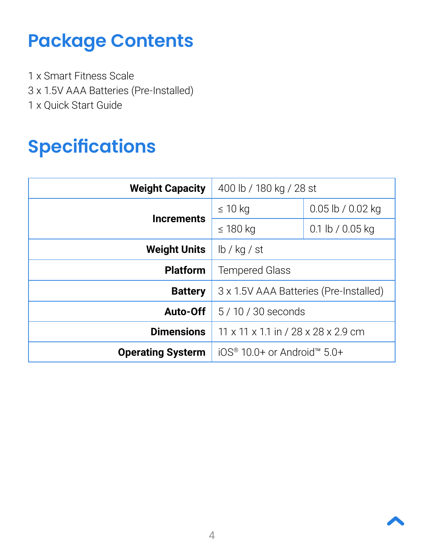# <span id="page-3-0"></span>**Package Contents**

1 x Smart Fitness Scale 3 x 1.5V AAA Batteries (Pre-Installed) 1 x Quick Start Guide

# <span id="page-3-1"></span>**Specifications**

| <b>Weight Capacity</b>   | 400 lb / 180 kg / 28 st                               |                   |
|--------------------------|-------------------------------------------------------|-------------------|
| <b>Increments</b>        | $\leq 10$ kg                                          | 0.05 lb / 0.02 kg |
|                          | $\leq$ 180 kg                                         | 0.1 lb / 0.05 kg  |
| <b>Weight Units</b>      | lb / kg / st                                          |                   |
| <b>Platform</b>          | <b>Tempered Glass</b>                                 |                   |
| <b>Battery</b>           | 3 x 1.5V AAA Batteries (Pre-Installed)                |                   |
| Auto-Off                 | 5/10/30 seconds                                       |                   |
| <b>Dimensions</b>        | 11 x 11 x 1.1 in / 28 x 28 x 2.9 cm                   |                   |
| <b>Operating Systerm</b> | $10S$ <sup>®</sup> 10.0+ or Android <sup>™</sup> 5.0+ |                   |

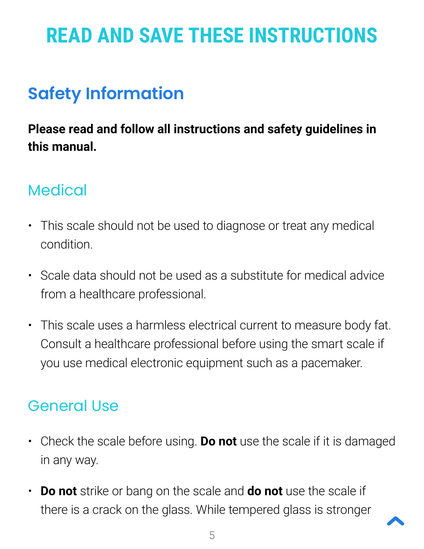# <span id="page-4-1"></span>**READ AND SAVE THESE INSTRUCTIONS**

# <span id="page-4-0"></span>**Safety Information**

## **Please read and follow all instructions and safety guidelines in this manual.**

## **Medical**

- This scale should not be used to diagnose or treat any medical condition.
- Scale data should not be used as a substitute for medical advice from a healthcare professional.
- This scale uses a harmless electrical current to measure body fat. Consult a healthcare professional before using the smart scale if you use medical electronic equipment such as a pacemaker.

## General Use

- Check the scale before using. **Do not** use the scale if it is damaged in any way.
- **Do not** strike or bang on the scale and **do not** use the scale if there is a crack on the glass. While tempered glass is stronger

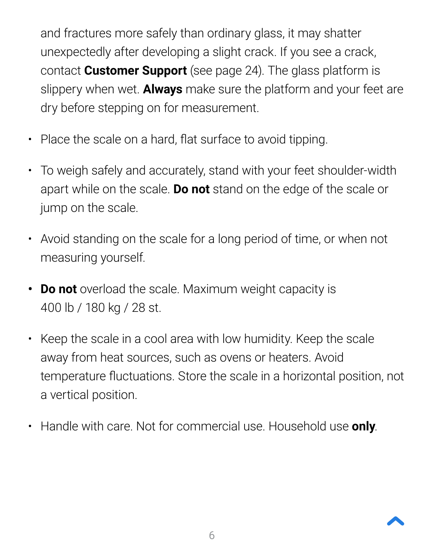and fractures more safely than ordinary glass, it may shatter unexpectedly after developing a slight crack. If you see a crack, contact **Customer Support** (see page [24\)](#page-23-0). The glass platform is slippery when wet. **Always** make sure the platform and your feet are dry before stepping on for measurement.

- Place the scale on a hard, flat surface to avoid tipping.
- To weigh safely and accurately, stand with your feet shoulder-width apart while on the scale. **Do not** stand on the edge of the scale or jump on the scale.
- Avoid standing on the scale for a long period of time, or when not measuring yourself.
- **• Do not** overload the scale. Maximum weight capacity is 400 lb / 180 kg / 28 st.
- Keep the scale in a cool area with low humidity. Keep the scale away from heat sources, such as ovens or heaters. Avoid temperature fluctuations. Store the scale in a horizontal position, not a vertical position.
- Handle with care. Not for commercial use. Household use **only**.

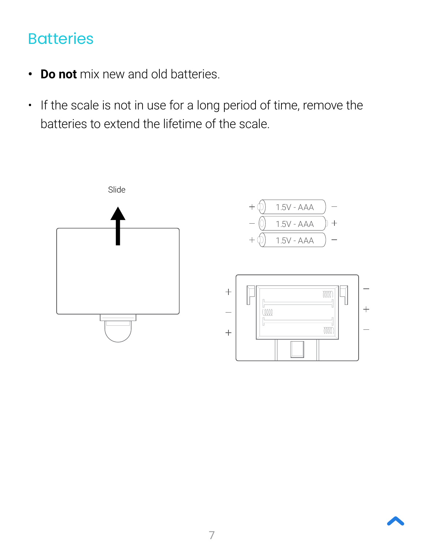## **Batteries**

- **• Do not** mix new and old batteries.
- If the scale is not in use for a long period of time, remove the batteries to extend the lifetime of the scale.



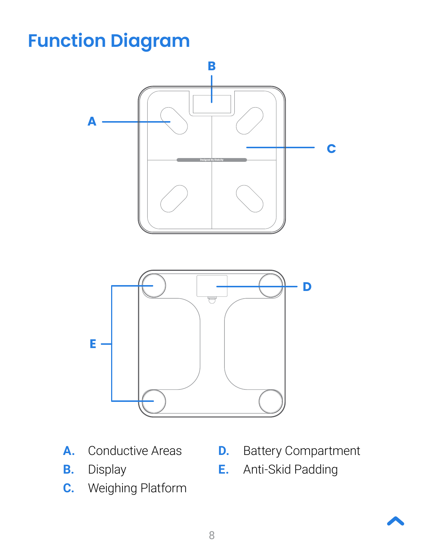# <span id="page-7-1"></span><span id="page-7-0"></span>**Function Diagram**



- **A.** Conductive Areas
- **B.** Display
- **C.** Weighing Platform
- **D.** Battery Compartment
- **E.** Anti-Skid Padding

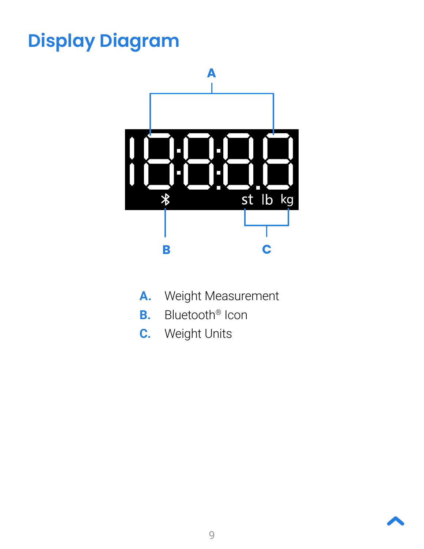# <span id="page-8-1"></span><span id="page-8-0"></span>**Display Diagram**



- **A.** Weight Measurement
- **B.** Bluetooth® Icon
- **C.** Weight Units

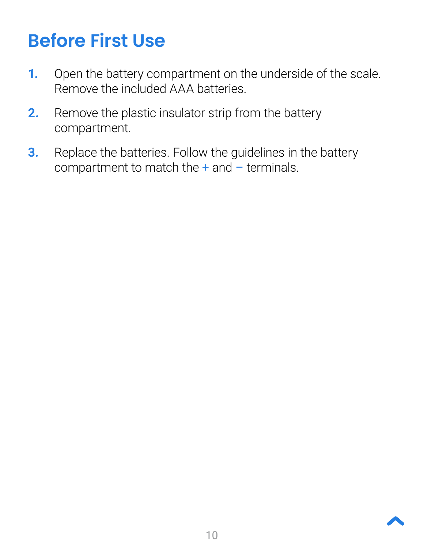# <span id="page-9-1"></span><span id="page-9-0"></span>**Before First Use**

- **1.** Open the battery compartment on the underside of the scale. Remove the included AAA batteries.
- **2.** Remove the plastic insulator strip from the battery compartment.
- **3.** Replace the batteries. Follow the guidelines in the battery compartment to match the  $+$  and  $-$  terminals.

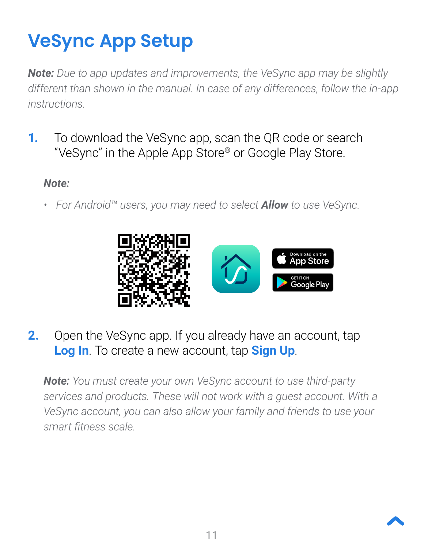# <span id="page-10-1"></span><span id="page-10-0"></span>**VeSync App Setup**

*Note: Due to app updates and improvements, the VeSync app may be slightly different than shown in the manual. In case of any differences, follow the in-app instructions.*

**1.** To download the VeSync app, scan the QR code or search "VeSync" in the Apple App Store® or Google Play Store.

#### *Note:*

*• For Android™ users, you may need to select Allow to use VeSync.* 



**2.** Open the VeSync app. If you already have an account, tap **Log In**. To create a new account, tap **Sign Up**.

*Note: You must create your own VeSync account to use third-party services and products. These will not work with a guest account. With a VeSync account, you can also allow your family and friends to use your smart fitness scale.*

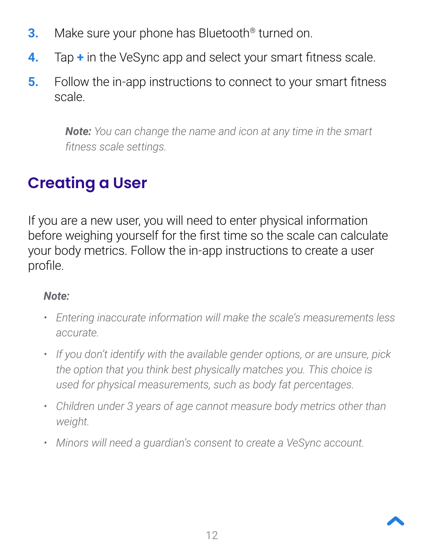- **3.** Make sure your phone has Bluetooth<sup>®</sup> turned on.
- **4.** Tap **+** in the VeSync app and select your smart fitness scale.
- **5.** Follow the in-app instructions to connect to your smart fitness scale.

*Note: You can change the name and icon at any time in the smart fitness scale settings.*

## **Creating a User**

If you are a new user, you will need to enter physical information before weighing yourself for the first time so the scale can calculate your body metrics. Follow the in-app instructions to create a user profile.

### *Note:*

- *• Entering inaccurate information will make the scale's measurements less accurate.*
- *• If you don't identify with the available gender options, or are unsure, pick the option that you think best physically matches you. This choice is used for physical measurements, such as body fat percentages.*
- *• Children under 3 years of age cannot measure body metrics other than weight.*
- *• Minors will need a guardian's consent to create a VeSync account.*

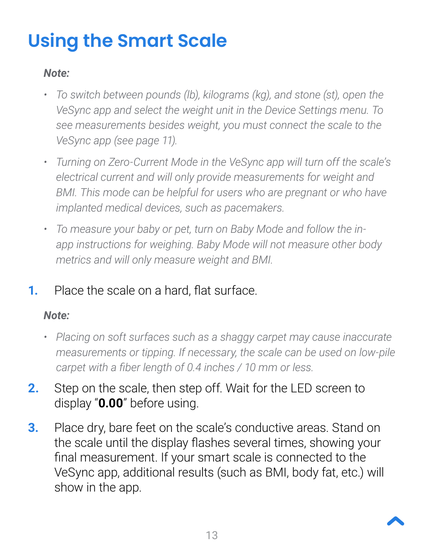# <span id="page-12-1"></span><span id="page-12-0"></span>**Using the Smart Scale**

#### *Note:*

- *• To switch between pounds (lb), kilograms (kg), and stone (st), open the VeSync app and select the weight unit in the Device Settings menu. To see measurements besides weight, you must connect the scale to the VeSync app (see page [11](#page-10-0)).*
- *• Turning on Zero-Current Mode in the VeSync app will turn off the scale's electrical current and will only provide measurements for weight and*  **BMI.** This mode can be helpful for users who are pregnant or who have *implanted medical devices, such as pacemakers.*
- *• To measure your baby or pet, turn on Baby Mode and follow the inapp instructions for weighing. Baby Mode will not measure other body metrics and will only measure weight and BMI.*
- **1.** Place the scale on a hard, flat surface.

#### *Note:*

- *• Placing on soft surfaces such as a shaggy carpet may cause inaccurate measurements or tipping. If necessary, the scale can be used on low-pile carpet with a fiber length of 0.4 inches / 10 mm or less.*
- **2.** Step on the scale, then step off. Wait for the LED screen to display "**0.00**" before using.
- **3.** Place dry, bare feet on the scale's conductive areas. Stand on the scale until the display flashes several times, showing your final measurement. If your smart scale is connected to the VeSync app, additional results (such as BMI, body fat, etc.) will show in the app.

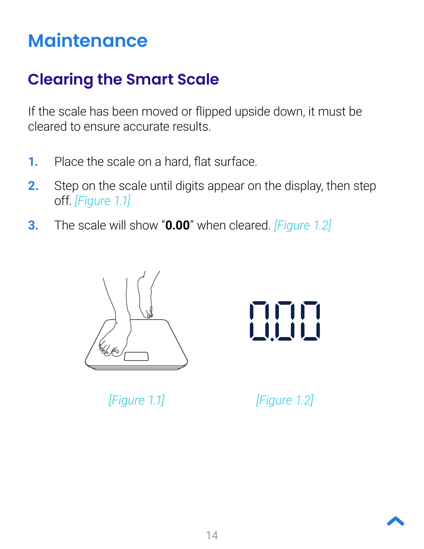# <span id="page-13-1"></span><span id="page-13-0"></span>**Maintenance**

## <span id="page-13-2"></span>**Clearing the Smart Scale**

If the scale has been moved or flipped upside down, it must be cleared to ensure accurate results.

- **1.** Place the scale on a hard, flat surface.
- **2.** Step on the scale until digits appear on the display, then step off. *[Figure 1.1]*
- **3.** The scale will show "**0.00**" when cleared. *[Figure 1.2]*



*[Figure 1.1] [Figure 1.2]*

| || || ||<br><u>| || || |</u>

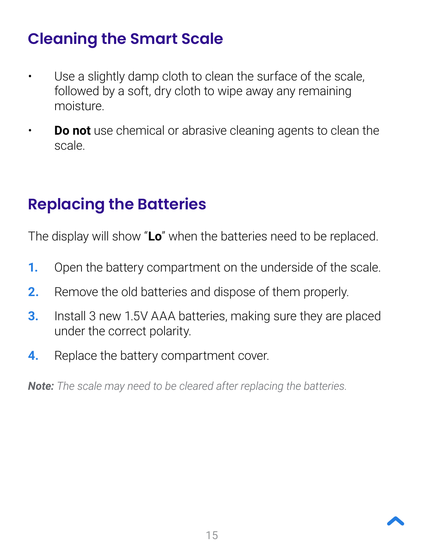## **Cleaning the Smart Scale**

- Use a slightly damp cloth to clean the surface of the scale, followed by a soft, dry cloth to wipe away any remaining moisture.
- **Do not** use chemical or abrasive cleaning agents to clean the scale.

## **Replacing the Batteries**

The display will show "**Lo**" when the batteries need to be replaced.

- **1.** Open the battery compartment on the underside of the scale.
- **2.** Remove the old batteries and dispose of them properly.
- **3.** Install 3 new 1.5V AAA batteries, making sure they are placed under the correct polarity.
- **4.** Replace the battery compartment cover.

*Note: The scale may need to be cleared after replacing the batteries.* 

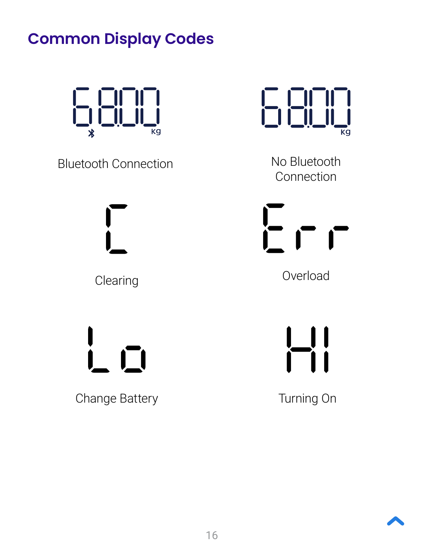## **Common Display Codes**



Bluetooth Connection No Bluetooth

Change Battery **Turning On** 



Connection

 $E \cap r$ 

Clearing **Clearing Clearing** 

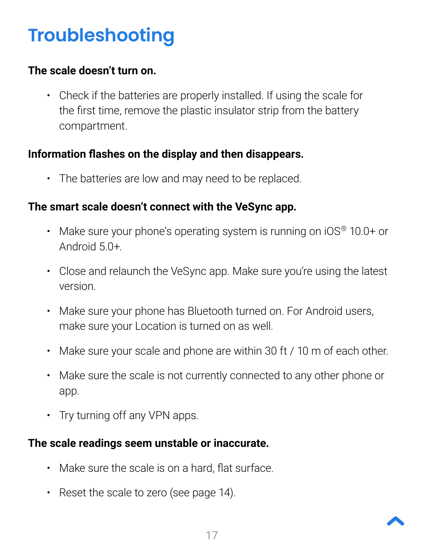# <span id="page-16-1"></span><span id="page-16-0"></span>**Troubleshooting**

#### **The scale doesn't turn on.**

• Check if the batteries are properly installed. If using the scale for the first time, remove the plastic insulator strip from the battery compartment.

#### **Information flashes on the display and then disappears.**

• The batteries are low and may need to be replaced.

#### **The smart scale doesn't connect with the VeSync app.**

- Make sure your phone's operating system is running on iOS® 10.0+ or Android 5.0+.
- Close and relaunch the VeSync app. Make sure you're using the latest version.
- Make sure your phone has Bluetooth turned on. For Android users, make sure your Location is turned on as well.
- Make sure your scale and phone are within 30 ft / 10 m of each other.
- Make sure the scale is not currently connected to any other phone or app.
- Try turning off any VPN apps.

### **The scale readings seem unstable or inaccurate.**

- Make sure the scale is on a hard, flat surface.
- Reset the scale to zero (see page [14](#page-13-2)).

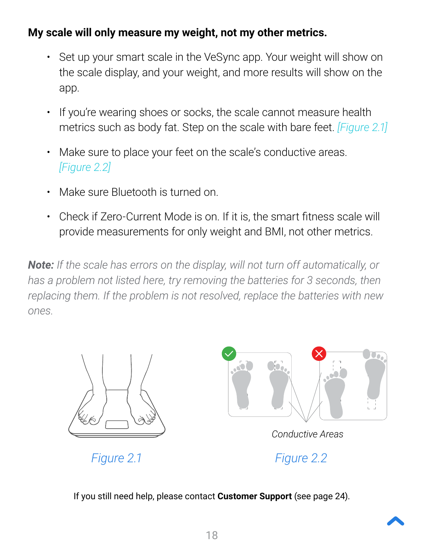#### **My scale will only measure my weight, not my other metrics.**

- Set up your smart scale in the VeSync app. Your weight will show on the scale display, and your weight, and more results will show on the app.
- If you're wearing shoes or socks, the scale cannot measure health metrics such as body fat. Step on the scale with bare feet. *[Figure 2.1]*
- Make sure to place your feet on the scale's conductive areas. *[Figure 2.2]*
- Make sure Bluetooth is turned on.
- Check if Zero-Current Mode is on. If it is, the smart fitness scale will provide measurements for only weight and BMI, not other metrics.

*Note: If the scale has errors on the display, will not turn off automatically, or*  has a problem not listed here, try removing the batteries for 3 seconds, then *replacing them. If the problem is not resolved, replace the batteries with new ones.*





*Conductive Areas*

*Figure 2.1 Figure 2.2*

If you still need help, please contact **Customer Support** (see page [24](#page-23-0)).

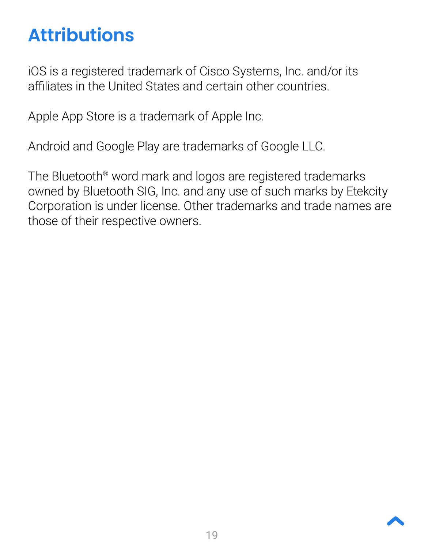# <span id="page-18-1"></span><span id="page-18-0"></span>**Attributions**

iOS is a registered trademark of Cisco Systems, Inc. and/or its affiliates in the United States and certain other countries.

Apple App Store is a trademark of Apple Inc.

Android and Google Play are trademarks of Google LLC.

The Bluetooth® word mark and logos are registered trademarks owned by Bluetooth SIG, Inc. and any use of such marks by Etekcity Corporation is under license. Other trademarks and trade names are those of their respective owners.

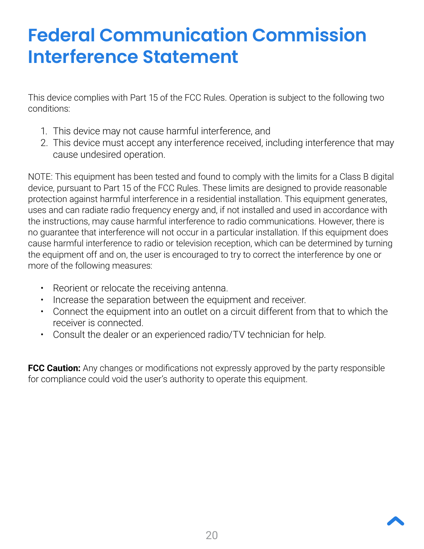# <span id="page-19-1"></span><span id="page-19-0"></span>**Federal Communication Commission Interference Statement**

This device complies with Part 15 of the FCC Rules. Operation is subject to the following two conditions:

- 1. This device may not cause harmful interference, and
- 2. This device must accept any interference received, including interference that may cause undesired operation.

NOTE: This equipment has been tested and found to comply with the limits for a Class B digital device, pursuant to Part 15 of the FCC Rules. These limits are designed to provide reasonable protection against harmful interference in a residential installation. This equipment generates, uses and can radiate radio frequency energy and, if not installed and used in accordance with the instructions, may cause harmful interference to radio communications. However, there is no guarantee that interference will not occur in a particular installation. If this equipment does cause harmful interference to radio or television reception, which can be determined by turning the equipment off and on, the user is encouraged to try to correct the interference by one or more of the following measures:

- Reorient or relocate the receiving antenna.
- Increase the separation between the equipment and receiver.
- Connect the equipment into an outlet on a circuit different from that to which the receiver is connected.
- Consult the dealer or an experienced radio/TV technician for help.

**FCC Caution:** Any changes or modifications not expressly approved by the party responsible for compliance could void the user's authority to operate this equipment.

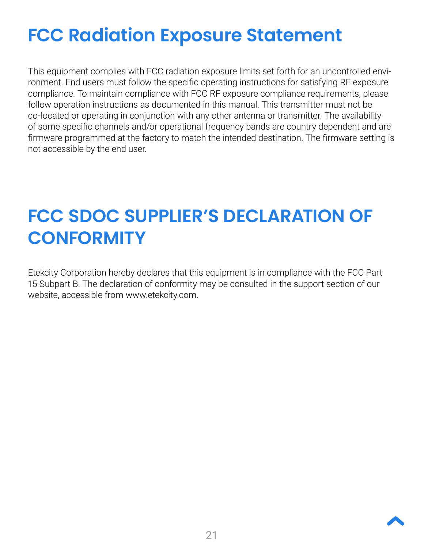# **FCC Radiation Exposure Statement**

This equipment complies with FCC radiation exposure limits set forth for an uncontrolled environment. End users must follow the specific operating instructions for satisfying RF exposure compliance. To maintain compliance with FCC RF exposure compliance requirements, please follow operation instructions as documented in this manual. This transmitter must not be co-located or operating in conjunction with any other antenna or transmitter. The availability of some specific channels and/or operational frequency bands are country dependent and are firmware programmed at the factory to match the intended destination. The firmware setting is not accessible by the end user.

# **FCC SDOC SUPPLIER'S DECLARATION OF CONFORMITY**

Etekcity Corporation hereby declares that this equipment is in compliance with the FCC Part 15 Subpart B. The declaration of conformity may be consulted in the support section of our website, accessible from www.etekcity.com.

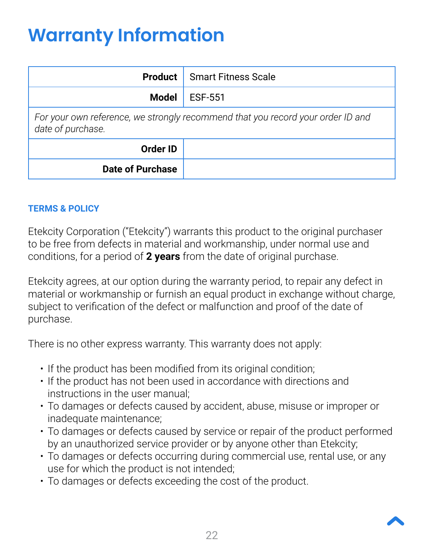# <span id="page-21-1"></span><span id="page-21-0"></span>**Warranty Information**

| <b>Product</b>                                                                                       | <b>Smart Fitness Scale</b> |  |
|------------------------------------------------------------------------------------------------------|----------------------------|--|
| <b>Model</b>                                                                                         | <b>ESF-551</b>             |  |
| For your own reference, we strongly recommend that you record your order ID and<br>date of purchase. |                            |  |
| <b>Order ID</b>                                                                                      |                            |  |
| <b>Date of Purchase</b>                                                                              |                            |  |

#### **TERMS & POLICY**

Etekcity Corporation ("Etekcity") warrants this product to the original purchaser to be free from defects in material and workmanship, under normal use and conditions, for a period of **2 years** from the date of original purchase.

Etekcity agrees, at our option during the warranty period, to repair any defect in material or workmanship or furnish an equal product in exchange without charge, subject to verification of the defect or malfunction and proof of the date of purchase.

There is no other express warranty. This warranty does not apply:

- If the product has been modified from its original condition;
- If the product has not been used in accordance with directions and instructions in the user manual;
- To damages or defects caused by accident, abuse, misuse or improper or inadequate maintenance;
- To damages or defects caused by service or repair of the product performed by an unauthorized service provider or by anyone other than Etekcity;
- To damages or defects occurring during commercial use, rental use, or any use for which the product is not intended;
- To damages or defects exceeding the cost of the product.

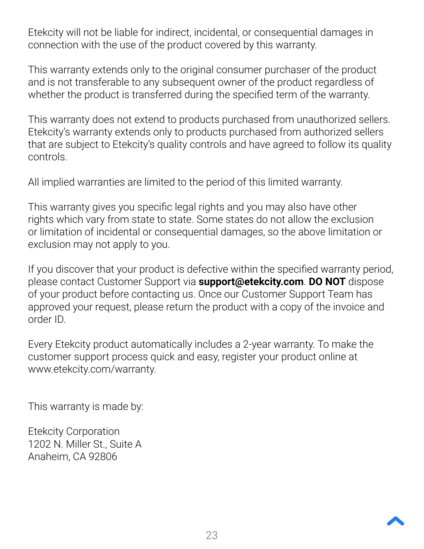Etekcity will not be liable for indirect, incidental, or consequential damages in connection with the use of the product covered by this warranty.

This warranty extends only to the original consumer purchaser of the product and is not transferable to any subsequent owner of the product regardless of whether the product is transferred during the specified term of the warranty.

This warranty does not extend to products purchased from unauthorized sellers. Etekcity's warranty extends only to products purchased from authorized sellers that are subject to Etekcity's quality controls and have agreed to follow its quality controls.

All implied warranties are limited to the period of this limited warranty.

This warranty gives you specific legal rights and you may also have other rights which vary from state to state. Some states do not allow the exclusion or limitation of incidental or consequential damages, so the above limitation or exclusion may not apply to you.

If you discover that your product is defective within the specified warranty period, please contact Customer Support via **support@etekcity.com**. **DO NOT** dispose of your product before contacting us. Once our Customer Support Team has approved your request, please return the product with a copy of the invoice and order ID.

Every Etekcity product automatically includes a 2-year warranty. To make the customer support process quick and easy, register your product online at www.etekcity.com/warranty.

This warranty is made by:

Etekcity Corporation 1202 N. Miller St., Suite A Anaheim, CA 92806

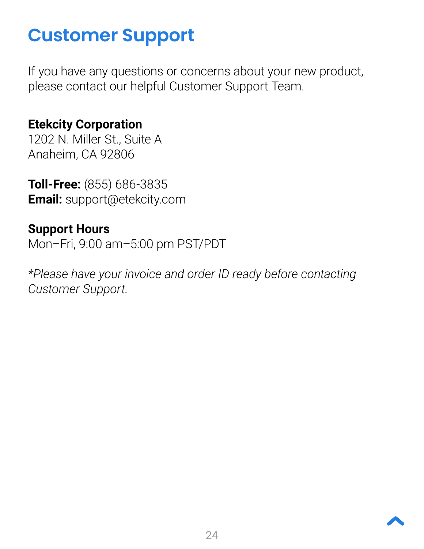# <span id="page-23-1"></span><span id="page-23-0"></span>**Customer Support**

If you have any questions or concerns about your new product, please contact our helpful Customer Support Team.

## **Etekcity Corporation**

1202 N. Miller St., Suite A Anaheim, CA 92806

**Toll-Free:** (855) 686-3835 **Email:** [support@etekcity.com](mailto:support%40etekcity.com?subject=)

## **Support Hours**

Mon–Fri, 9:00 am–5:00 pm PST/PDT

*\*Please have your invoice and order ID ready before contacting Customer Support.*